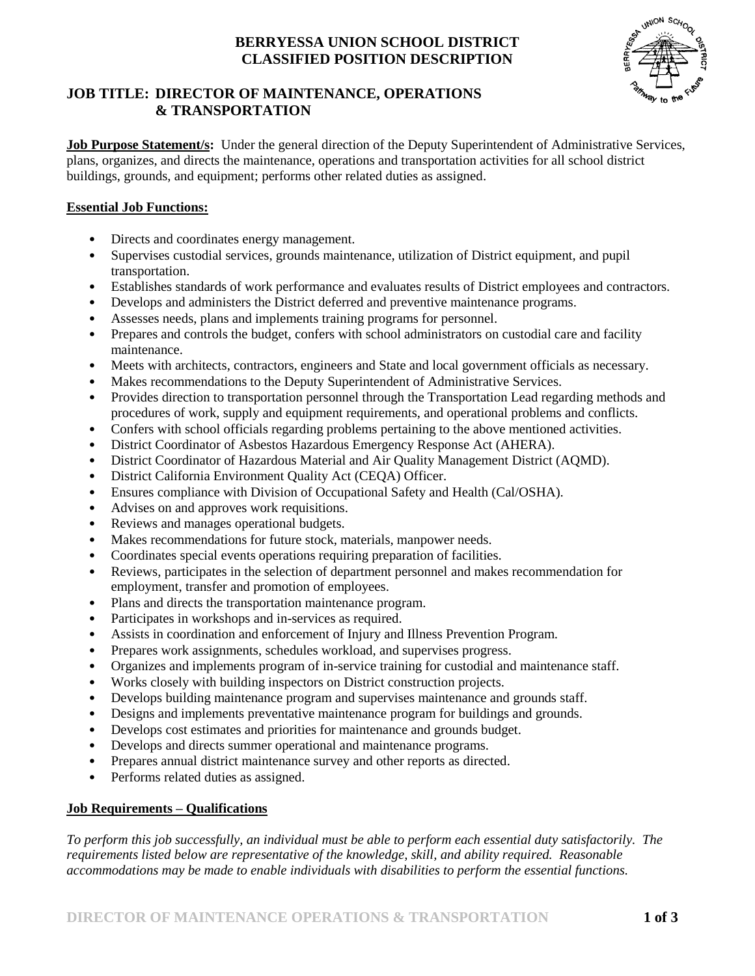# **BERRYESSA UNION SCHOOL DISTRICT CLASSIFIED POSITION DESCRIPTION**



## **JOB TITLE: DIRECTOR OF MAINTENANCE, OPERATIONS & TRANSPORTATION**

**Job Purpose Statement/s:** Under the general direction of the Deputy Superintendent of Administrative Services, plans, organizes, and directs the maintenance, operations and transportation activities for all school district buildings, grounds, and equipment; performs other related duties as assigned.

### **Essential Job Functions:**

- Directs and coordinates energy management.
- Supervises custodial services, grounds maintenance, utilization of District equipment, and pupil transportation.
- Establishes standards of work performance and evaluates results of District employees and contractors.
- Develops and administers the District deferred and preventive maintenance programs.
- Assesses needs, plans and implements training programs for personnel.
- Prepares and controls the budget, confers with school administrators on custodial care and facility maintenance.
- Meets with architects, contractors, engineers and State and local government officials as necessary.
- Makes recommendations to the Deputy Superintendent of Administrative Services.
- Provides direction to transportation personnel through the Transportation Lead regarding methods and procedures of work, supply and equipment requirements, and operational problems and conflicts.
- Confers with school officials regarding problems pertaining to the above mentioned activities.
- District Coordinator of Asbestos Hazardous Emergency Response Act (AHERA).
- District Coordinator of Hazardous Material and Air Quality Management District (AQMD).
- District California Environment Quality Act (CEQA) Officer.
- Ensures compliance with Division of Occupational Safety and Health (Cal/OSHA).
- Advises on and approves work requisitions.
- Reviews and manages operational budgets.
- Makes recommendations for future stock, materials, manpower needs.
- Coordinates special events operations requiring preparation of facilities.
- Reviews, participates in the selection of department personnel and makes recommendation for employment, transfer and promotion of employees.
- Plans and directs the transportation maintenance program.
- Participates in workshops and in-services as required.
- Assists in coordination and enforcement of Injury and Illness Prevention Program.
- Prepares work assignments, schedules workload, and supervises progress.
- Organizes and implements program of in-service training for custodial and maintenance staff.
- Works closely with building inspectors on District construction projects.
- Develops building maintenance program and supervises maintenance and grounds staff.
- Designs and implements preventative maintenance program for buildings and grounds.
- Develops cost estimates and priorities for maintenance and grounds budget.
- Develops and directs summer operational and maintenance programs.
- Prepares annual district maintenance survey and other reports as directed.
- Performs related duties as assigned.

### **Job Requirements – Qualifications**

*To perform this job successfully, an individual must be able to perform each essential duty satisfactorily. The requirements listed below are representative of the knowledge, skill, and ability required. Reasonable accommodations may be made to enable individuals with disabilities to perform the essential functions.*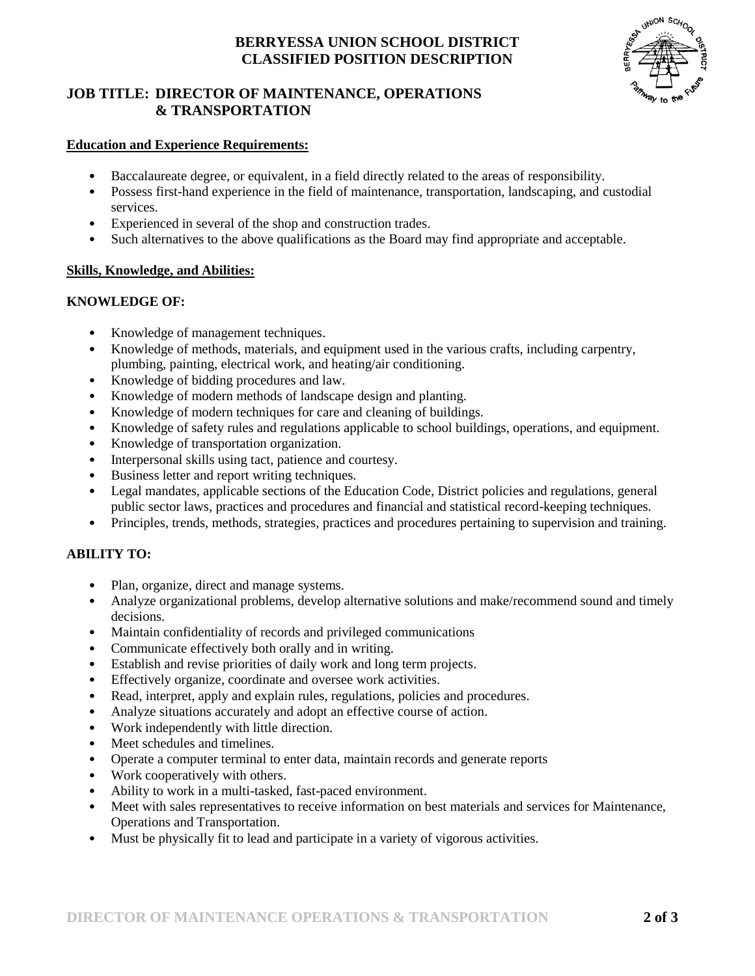# **BERRYESSA UNION SCHOOL DISTRICT CLASSIFIED POSITION DESCRIPTION**

# **JOB TITLE: DIRECTOR OF MAINTENANCE, OPERATIONS & TRANSPORTATION**



### **Education and Experience Requirements:**

- Baccalaureate degree, or equivalent, in a field directly related to the areas of responsibility.
- Possess first-hand experience in the field of maintenance, transportation, landscaping, and custodial services.
- Experienced in several of the shop and construction trades.
- Such alternatives to the above qualifications as the Board may find appropriate and acceptable.

#### **Skills, Knowledge, and Abilities:**

#### **KNOWLEDGE OF:**

- Knowledge of management techniques.
- Knowledge of methods, materials, and equipment used in the various crafts, including carpentry, plumbing, painting, electrical work, and heating/air conditioning.
- Knowledge of bidding procedures and law.
- Knowledge of modern methods of landscape design and planting.
- Knowledge of modern techniques for care and cleaning of buildings.
- Knowledge of safety rules and regulations applicable to school buildings, operations, and equipment.
- Knowledge of transportation organization.
- Interpersonal skills using tact, patience and courtesy.
- Business letter and report writing techniques.
- Legal mandates, applicable sections of the Education Code, District policies and regulations, general public sector laws, practices and procedures and financial and statistical record-keeping techniques.
- Principles, trends, methods, strategies, practices and procedures pertaining to supervision and training.

### **ABILITY TO:**

- Plan, organize, direct and manage systems.
- Analyze organizational problems, develop alternative solutions and make/recommend sound and timely decisions.
- Maintain confidentiality of records and privileged communications
- Communicate effectively both orally and in writing.
- Establish and revise priorities of daily work and long term projects.
- Effectively organize, coordinate and oversee work activities.
- Read, interpret, apply and explain rules, regulations, policies and procedures.
- Analyze situations accurately and adopt an effective course of action.
- Work independently with little direction.
- Meet schedules and timelines.
- Operate a computer terminal to enter data, maintain records and generate reports
- Work cooperatively with others.
- Ability to work in a multi-tasked, fast-paced environment.
- Meet with sales representatives to receive information on best materials and services for Maintenance, Operations and Transportation.
- Must be physically fit to lead and participate in a variety of vigorous activities.